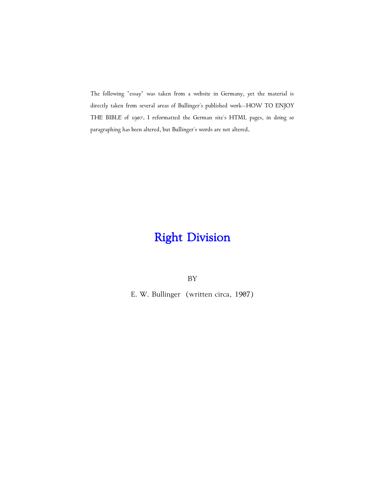The following "essay" was taken from a website in Germany, yet the material is directly taken from several areas of Bullinger's published work-HOW TO ENJOY THE BIBLE of 1907. I reformatted the German site's HTML pages, in doing so paragraphing has been altered, but Bullinger's words are not altered.

## **Right Division**

BY

E. W. Bullinger (written circa, 1907)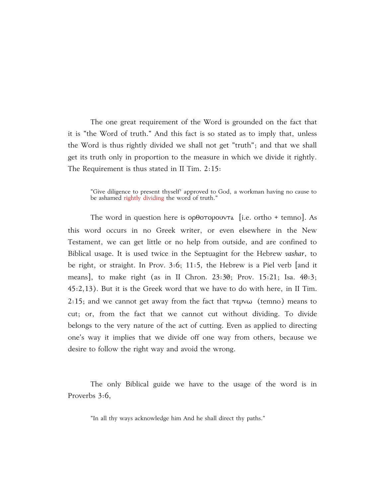The one great requirement of the Word is grounded on the fact that it is "the Word of truth." And this fact is so stated as to imply that, unless the Word is thus rightly divided we shall not get "truth"; and that we shall get its truth only in proportion to the measure in which we divide it rightly. The Requirement is thus stated in II Tim. 2:15:

"Give diligence to present thyself<sup>+</sup> approved to God, a workman having no cause to be ashamed rightly dividing the word of truth."

The word in question here is  $op0$  $op0$ v $v$ ra [i.e. ortho + temno]. As this word occurs in no Greek writer, or even elsewhere in the New Testament, we can get little or no help from outside, and are confined to Biblical usage. It is used twice in the Septuagint for the Hebrew vashar, to be right, or straight. In Prov. 3:6; 11:5, the Hebrew is a Piel verb [and it means], to make right (as in II Chron. 23:30; Prov. 15:21; Isa. 40:3; 45:2,13). But it is the Greek word that we have to do with here, in II Tim. 2:15; and we cannot get away from the fact that  $\tau$ epv $\omega$  (temno) means to cut; or, from the fact that we cannot cut without dividing. To divide belongs to the very nature of the act of cutting. Even as applied to directing one's way it implies that we divide off one way from others, because we desire to follow the right way and avoid the wrong.

The only Biblical guide we have to the usage of the word is in Proverbs 3:6,

"In all thy ways acknowledge him And he shall direct thy paths."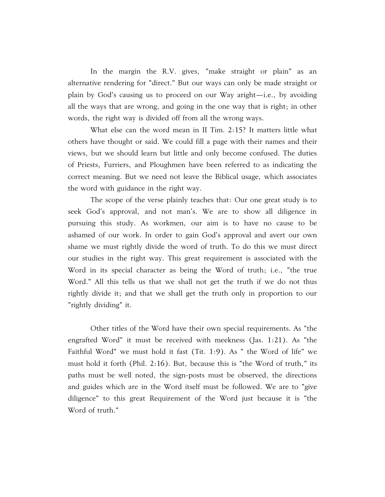In the margin the R.V. gives, "make straight or plain" as an alternative rendering for "direct." But our ways can only be made straight or plain by God's causing us to proceed on our Way aright $-i.e.,$  by avoiding all the ways that are wrong, and going in the one way that is right; in other words, the right way is divided off from all the wrong ways.

What else can the word mean in II Tim. 2:15? It matters little what others have thought or said. We could fill a page with their names and their views, but we should learn but little and only become confused. The duties of Priests, Furriers, and Ploughmen have been referred to as indicating the correct meaning. But we need not leave the Biblical usage, which associates the word with guidance in the right way.

The scope of the verse plainly teaches that: Our one great study is to seek God's approval, and not man's. We are to show all diligence in pursuing this study. As workmen, our aim is to have no cause to be ashamed of our work. In order to gain God's approval and avert our own shame we must rightly divide the word of truth. To do this we must direct our studies in the right way. This great requirement is associated with the Word in its special character as being the Word of truth; i.e., "the true Word." All this tells us that we shall not get the truth if we do not thus rightly divide it; and that we shall get the truth only in proportion to our "rightly dividing" it.

Other titles of the Word have their own special requirements. As "the engrafted Word" it must be received with meekness (Jas. 1:21). As "the Faithful Word" we must hold it fast (Tit. 1:9). As " the Word of life" we must hold it forth (Phil. 2:16). But, because this is "the Word of truth," its paths must be well noted, the sign-posts must be observed, the directions and guides which are in the Word itself must be followed. We are to "give diligence" to this great Requirement of the Word just because it is "the Word of truth."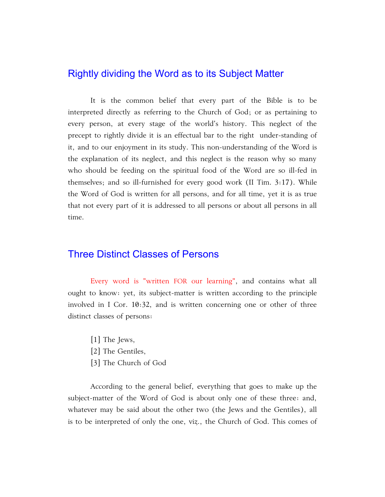## Rightly dividing the Word as to its Subject Matter

It is the common belief that every part of the Bible is to be interpreted directly as referring to the Church of God; or as pertaining to every person, at every stage of the world's history. This neglect of the precept to rightly divide it is an effectual bar to the right under-standing of it, and to our enjoyment in its study. This non-understanding of the Word is the explanation of its neglect, and this neglect is the reason why so many who should be feeding on the spiritual food of the Word are so ill-fed in themselves; and so ill-furnished for every good work (II Tim. 3:17). While the Word of God is written for all persons, and for all time, yet it is as true that not every part of it is addressed to all persons or about all persons in all time.

## Three Distinct Classes of Persons

Every word is "written FOR our learning", and contains what all ought to know: yet, its subject-matter is written according to the principle involved in I Cor. 10:32, and is written concerning one or other of three distinct classes of persons:

- [1] The Jews,
- [2] The Gentiles,
- [3] The Church of God

According to the general belief, everything that goes to make up the subject-matter of the Word of God is about only one of these three: and, whatever may be said about the other two (the Jews and the Gentiles), all is to be interpreted of only the one, viz., the Church of God. This comes of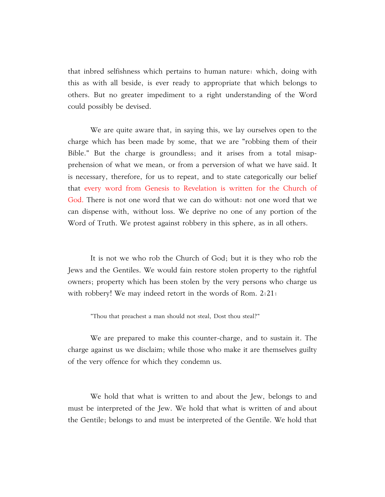that inbred selfishness which pertains to human nature: which, doing with this as with all beside, is ever ready to appropriate that which belongs to others. But no greater impediment to a right understanding of the Word could possibly be devised.

We are quite aware that, in saying this, we lay ourselves open to the charge which has been made by some, that we are "robbing them of their Bible." But the charge is groundless; and it arises from a total misapprehension of what we mean, or from a perversion of what we have said. It is necessary, therefore, for us to repeat, and to state categorically our belief that every word from Genesis to Revelation is written for the Church of God. There is not one word that we can do without: not one word that we can dispense with, without loss. We deprive no one of any portion of the Word of Truth. We protest against robbery in this sphere, as in all others.

It is not we who rob the Church of God; but it is they who rob the Jews and the Gentiles. We would fain restore stolen property to the rightful owners; property which has been stolen by the very persons who charge us with robbery! We may indeed retort in the words of Rom. 2:21:

"Thou that preachest a man should not steal, Dost thou steal?"

We are prepared to make this counter-charge, and to sustain it. The charge against us we disclaim; while those who make it are themselves guilty of the very offence for which they condemn us.

We hold that what is written to and about the Jew, belongs to and must be interpreted of the Jew. We hold that what is written of and about the Gentile; belongs to and must be interpreted of the Gentile. We hold that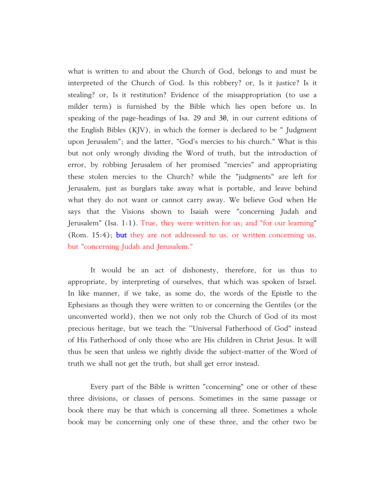what is written to and about the Church of God, belongs to and must be interpreted of the Church of God. Is this robbery? or, Is it justice? Is it stealing? or, Is it restitution? Evidence of the misappropriation (to use a milder term) is furnished by the Bible which lies open before us. In speaking of the page-headings of Isa. 29 and 30, in our current editions of the English Bibles (KJV), in which the former is declared to be " Judgment upon Jerusalem"; and the latter, "God's mercies to his church." What is this but not only wrongly dividing the Word of truth, but the introduction of error, by robbing Jerusalem of her promised "mercies" and appropriating these stolen mercies to the Church? while the "judgments" are left for Jerusalem, just as burglars take away what is portable, and leave behind what they do not want or cannot carry away. We believe God when He says that the Visions shown to Isaiah were "concerning Judah and Jerusalem" (Isa. 1:1). True, they were written for us; and "for our learning" (Rom. 15:4); **but** they are not addressed to us, or written concerning us, but "concerning Judah and Jerusalem."

It would be an act of dishonesty, therefore, for us thus to appropriate, by interpreting of ourselves, that which was spoken of Israel. In like manner, if we take, as some do, the words of the Epistle to the Ephesians as though they were written to or concerning the Gentiles (or the unconverted world), then we not only rob the Church of God of its most precious heritage, but we teach the ''Universal Fatherhood of God" instead of His Fatherhood of only those who are His children in Christ Jesus. It will thus be seen that unless we rightly divide the subject-matter of the Word of truth we shall not get the truth, but shall get error instead.

Every part of the Bible is written "concerning" one or other of these three divisions, or classes of persons. Sometimes in the same passage or book there may be that which is concerning all three. Sometimes a whole book may be concerning only one of these three, and the other two be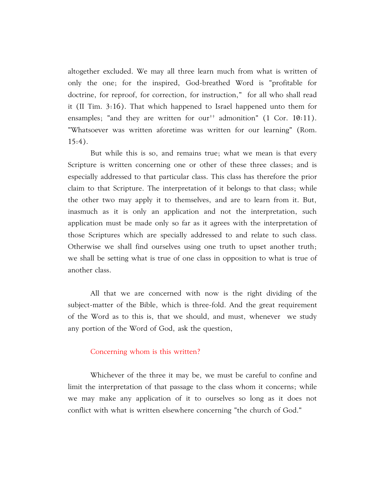altogether excluded. We may all three learn much from what is written of only the one; for the inspired, God-breathed Word is "profitable for doctrine, for reproof, for correction, for instruction," for all who shall read it (II Tim. 3:16). That which happened to Israel happened unto them for ensamples; "and they are written for our<sup> $\dagger$ </sup> admonition" (1 Cor. 10:11). "Whatsoever was written aforetime was written for our learning" (Rom.  $15:4$ ).

But while this is so, and remains true; what we mean is that every Scripture is written concerning one or other of these three classes; and is especially addressed to that particular class. This class has therefore the prior claim to that Scripture. The interpretation of it belongs to that class; while the other two may apply it to themselves, and are to learn from it. But, inasmuch as it is only an application and not the interpretation, such application must be made only so far as it agrees with the interpretation of those Scriptures which are specially addressed to and relate to such class. Otherwise we shall find ourselves using one truth to upset another truth; we shall be setting what is true of one class in opposition to what is true of another class.

All that we are concerned with now is the right dividing of the subject-matter of the Bible, which is three-fold. And the great requirement of the Word as to this is, that we should, and must, whenever we study any portion of the Word of God, ask the question,

## Concerning whom is this written?

Whichever of the three it may be, we must be careful to confine and limit the interpretation of that passage to the class whom it concerns; while we may make any application of it to ourselves so long as it does not conflict with what is written elsewhere concerning "the church of God."